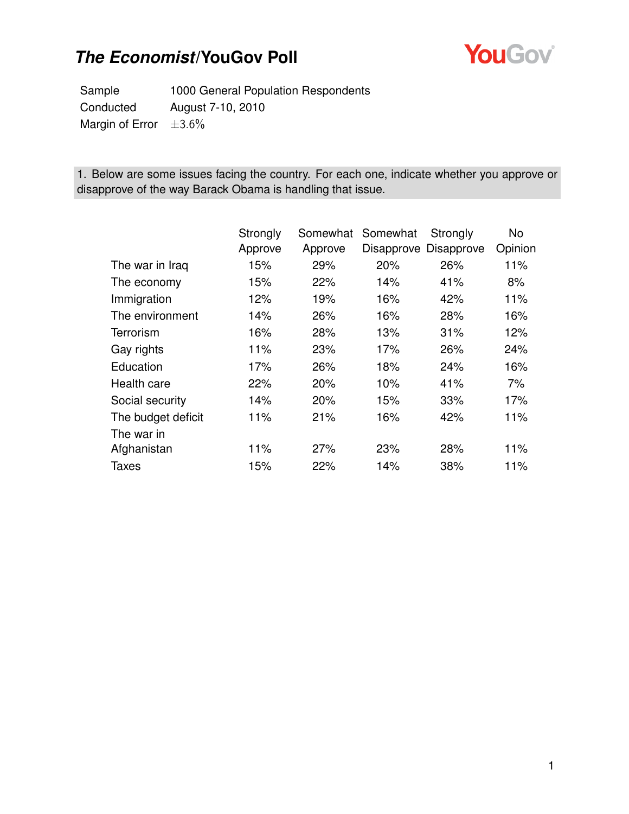

Sample 1000 General Population Respondents Conducted August 7-10, 2010 Margin of Error  $\pm 3.6\%$ 

1. Below are some issues facing the country. For each one, indicate whether you approve or disapprove of the way Barack Obama is handling that issue.

|                    | Strongly | Somewhat | Somewhat | Strongly              | No      |
|--------------------|----------|----------|----------|-----------------------|---------|
|                    | Approve  | Approve  |          | Disapprove Disapprove | Opinion |
| The war in Iraq    | 15%      | 29%      | 20%      | 26%                   | 11%     |
| The economy        | 15%      | 22%      | 14%      | 41%                   | 8%      |
| Immigration        | 12%      | 19%      | 16%      | 42%                   | 11%     |
| The environment    | 14%      | 26%      | 16%      | 28%                   | 16%     |
| Terrorism          | 16%      | 28%      | 13%      | 31%                   | 12%     |
| Gay rights         | 11%      | 23%      | 17%      | 26%                   | 24%     |
| Education          | 17%      | 26%      | 18%      | 24%                   | 16%     |
| Health care        | 22%      | 20%      | 10%      | 41%                   | 7%      |
| Social security    | 14%      | 20%      | 15%      | 33%                   | 17%     |
| The budget deficit | 11%      | 21%      | 16%      | 42%                   | 11%     |
| The war in         |          |          |          |                       |         |
| Afghanistan        | 11%      | 27%      | 23%      | 28%                   | 11%     |
| <b>Taxes</b>       | 15%      | 22%      | 14%      | 38%                   | 11%     |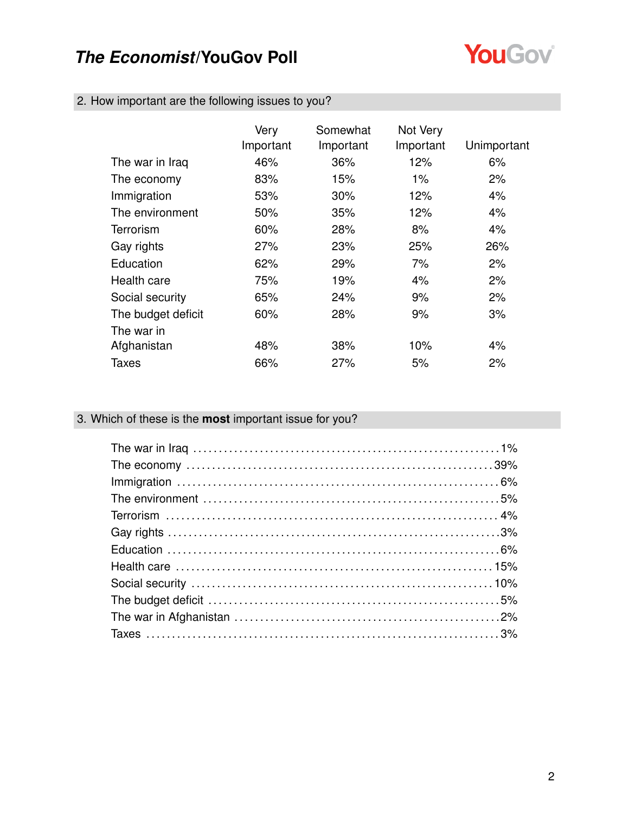

|  |  |  |  |  | 2. How important are the following issues to you? |  |
|--|--|--|--|--|---------------------------------------------------|--|
|--|--|--|--|--|---------------------------------------------------|--|

|                    | Very<br>Important | Somewhat<br>Important | Not Very<br>Important | Unimportant |
|--------------------|-------------------|-----------------------|-----------------------|-------------|
| The war in Iraq    | 46%               | 36%                   | 12%                   | 6%          |
| The economy        | 83%               | 15%                   | $1\%$                 | 2%          |
| Immigration        | 53%               | $30\%$                | 12%                   | 4%          |
| The environment    | 50%               | 35%                   | 12%                   | 4%          |
| Terrorism          | 60%               | 28%                   | 8%                    | 4%          |
| Gay rights         | 27%               | 23%                   | 25%                   | 26%         |
| Education          | 62%               | 29%                   | 7%                    | 2%          |
| Health care        | 75%               | 19%                   | 4%                    | 2%          |
| Social security    | 65%               | 24%                   | 9%                    | 2%          |
| The budget deficit | 60%               | 28%                   | 9%                    | 3%          |
| The war in         |                   |                       |                       |             |
| Afghanistan        | 48%               | 38%                   | 10%                   | 4%          |
| Taxes              | 66%               | 27%                   | 5%                    | 2%          |

### 3. Which of these is the **most** important issue for you?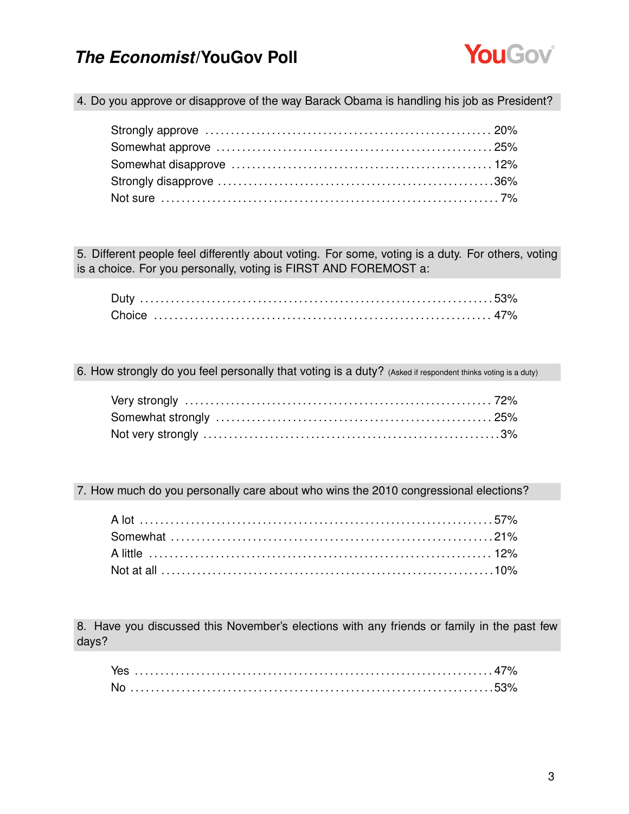

4. Do you approve or disapprove of the way Barack Obama is handling his job as President?

5. Different people feel differently about voting. For some, voting is a duty. For others, voting is a choice. For you personally, voting is FIRST AND FOREMOST a:

6. How strongly do you feel personally that voting is a duty? (Asked if respondent thinks voting is a duty)

7. How much do you personally care about who wins the 2010 congressional elections?

8. Have you discussed this November's elections with any friends or family in the past few days?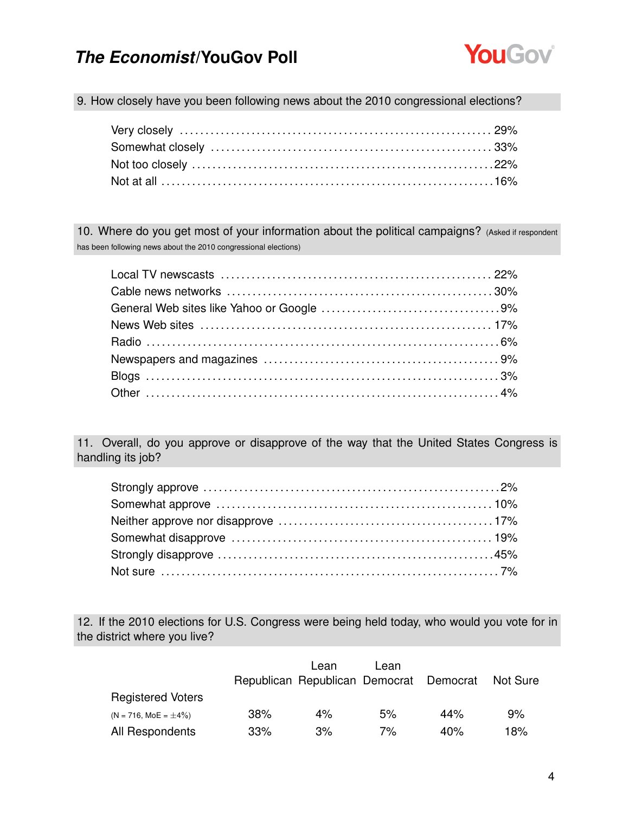

9. How closely have you been following news about the 2010 congressional elections?

10. Where do you get most of your information about the political campaigns? (Asked if respondent has been following news about the 2010 congressional elections)

11. Overall, do you approve or disapprove of the way that the United States Congress is handling its job?

12. If the 2010 elections for U.S. Congress were being held today, who would you vote for in the district where you live?

|                            |     | Lean                                    | Lean |     |                 |
|----------------------------|-----|-----------------------------------------|------|-----|-----------------|
|                            |     | Republican Republican Democrat Democrat |      |     | <b>Not Sure</b> |
| <b>Registered Voters</b>   |     |                                         |      |     |                 |
| $(N = 716, MOE = \pm 4\%)$ | 38% | 4%                                      | 5%   | 44% | 9%              |
| All Respondents            | 33% | 3%                                      | 7%   | 40% | 18%             |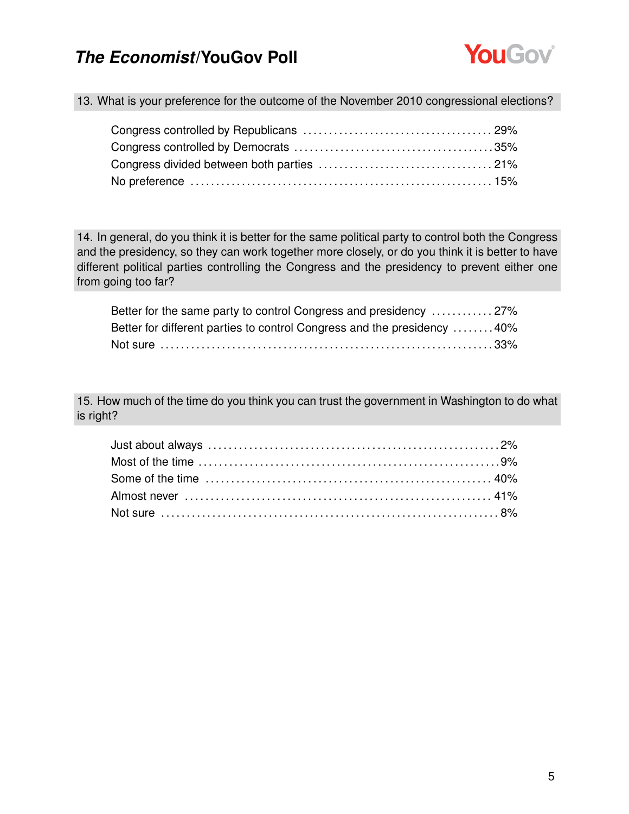

13. What is your preference for the outcome of the November 2010 congressional elections?

14. In general, do you think it is better for the same political party to control both the Congress and the presidency, so they can work together more closely, or do you think it is better to have different political parties controlling the Congress and the presidency to prevent either one from going too far?

| Better for the same party to control Congress and presidency 27%        |  |
|-------------------------------------------------------------------------|--|
| Better for different parties to control Congress and the presidency 40% |  |
|                                                                         |  |

15. How much of the time do you think you can trust the government in Washington to do what is right?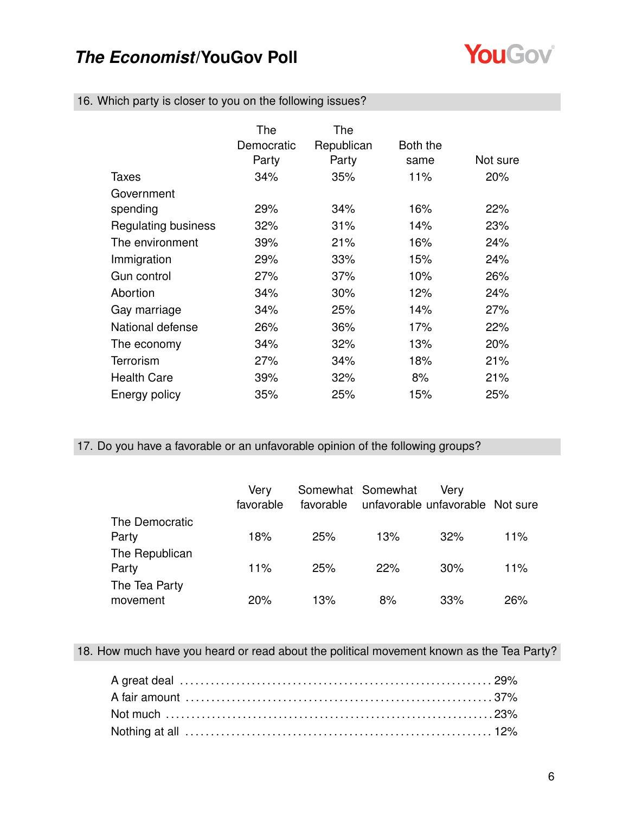

| 16. Which party is closer to you on the following issues? |  |  |  |  |
|-----------------------------------------------------------|--|--|--|--|
|-----------------------------------------------------------|--|--|--|--|

|                            | The<br>Democratic<br>Party | The<br>Republican<br>Party | Both the<br>same | Not sure |
|----------------------------|----------------------------|----------------------------|------------------|----------|
| Taxes                      | 34%                        | 35%                        | 11%              | 20%      |
| Government                 |                            |                            |                  |          |
| spending                   | 29%                        | 34%                        | 16%              | 22%      |
| <b>Regulating business</b> | 32%                        | 31%                        | 14%              | 23%      |
| The environment            | 39%                        | 21%                        | 16%              | 24%      |
| Immigration                | 29%                        | 33%                        | 15%              | 24%      |
| Gun control                | 27%                        | 37%                        | 10%              | 26%      |
| Abortion                   | 34%                        | 30%                        | 12%              | 24%      |
| Gay marriage               | 34%                        | 25%                        | 14%              | 27%      |
| National defense           | 26%                        | 36%                        | 17%              | 22%      |
| The economy                | 34%                        | 32%                        | 13%              | 20%      |
| Terrorism                  | 27%                        | 34%                        | 18%              | 21%      |
| <b>Health Care</b>         | 39%                        | 32%                        | 8%               | 21%      |
| Energy policy              | 35%                        | 25%                        | 15%              | 25%      |

17. Do you have a favorable or an unfavorable opinion of the following groups?

|                | Very<br>favorable |     | Somewhat Somewhat<br>favorable unfavorable unfavorable Not sure | Very |     |
|----------------|-------------------|-----|-----------------------------------------------------------------|------|-----|
| The Democratic |                   |     |                                                                 |      |     |
| Party          | 18%               | 25% | 13%                                                             | 32%  | 11% |
| The Republican |                   |     |                                                                 |      |     |
| Party          | 11%               | 25% | 22%                                                             | 30%  | 11% |
| The Tea Party  |                   |     |                                                                 |      |     |
| movement       | 20%               | 13% | 8%                                                              | 33%  | 26% |

18. How much have you heard or read about the political movement known as the Tea Party?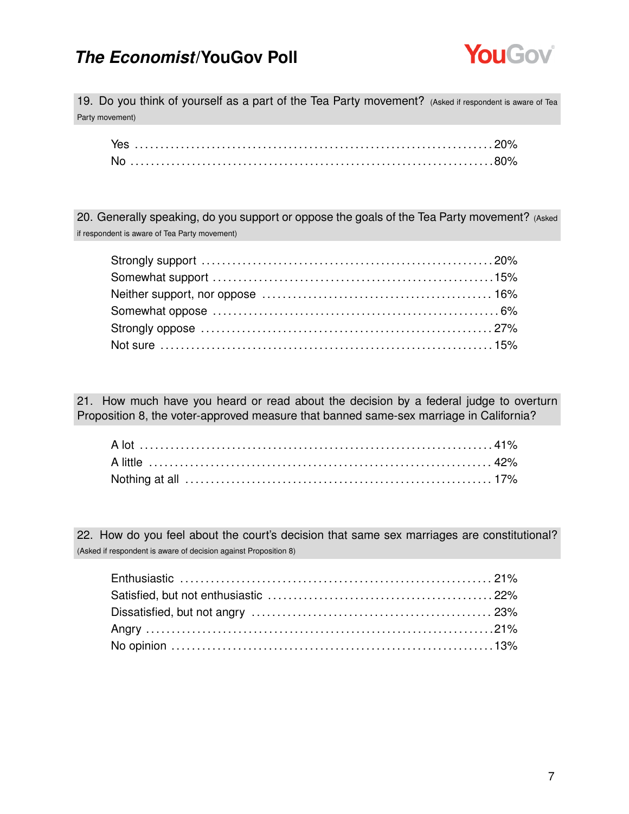

19. Do you think of yourself as a part of the Tea Party movement? (Asked if respondent is aware of Tea Party movement)

20. Generally speaking, do you support or oppose the goals of the Tea Party movement? (Asked if respondent is aware of Tea Party movement)

21. How much have you heard or read about the decision by a federal judge to overturn Proposition 8, the voter-approved measure that banned same-sex marriage in California?

22. How do you feel about the court's decision that same sex marriages are constitutional? (Asked if respondent is aware of decision against Proposition 8)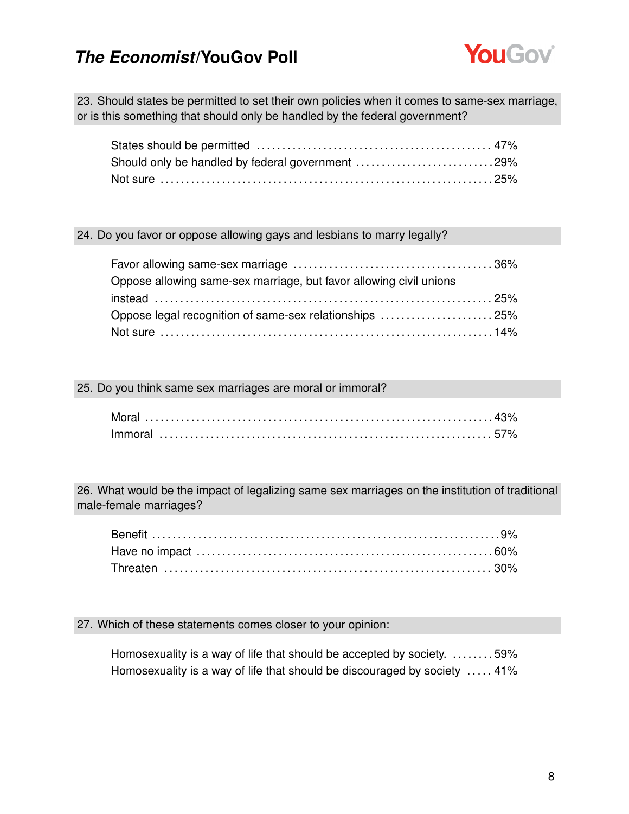

23. Should states be permitted to set their own policies when it comes to same-sex marriage, or is this something that should only be handled by the federal government?

| Should only be handled by federal government 29% |  |
|--------------------------------------------------|--|
|                                                  |  |

#### 24. Do you favor or oppose allowing gays and lesbians to marry legally?

| Oppose allowing same-sex marriage, but favor allowing civil unions |  |
|--------------------------------------------------------------------|--|
| $instead \dots 25\%$                                               |  |
| Oppose legal recognition of same-sex relationships 25%             |  |
|                                                                    |  |

#### 25. Do you think same sex marriages are moral or immoral?

26. What would be the impact of legalizing same sex marriages on the institution of traditional male-female marriages?

#### 27. Which of these statements comes closer to your opinion:

Homosexuality is a way of life that should be accepted by society. ........59% Homosexuality is a way of life that should be discouraged by society ..... 41%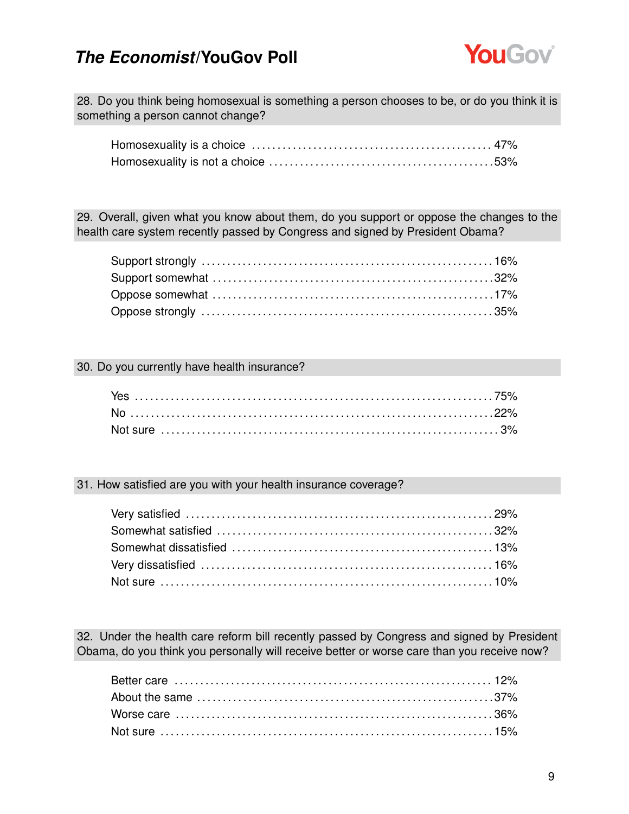

28. Do you think being homosexual is something a person chooses to be, or do you think it is something a person cannot change?

29. Overall, given what you know about them, do you support or oppose the changes to the health care system recently passed by Congress and signed by President Obama?

#### 30. Do you currently have health insurance?

#### 31. How satisfied are you with your health insurance coverage?

32. Under the health care reform bill recently passed by Congress and signed by President Obama, do you think you personally will receive better or worse care than you receive now?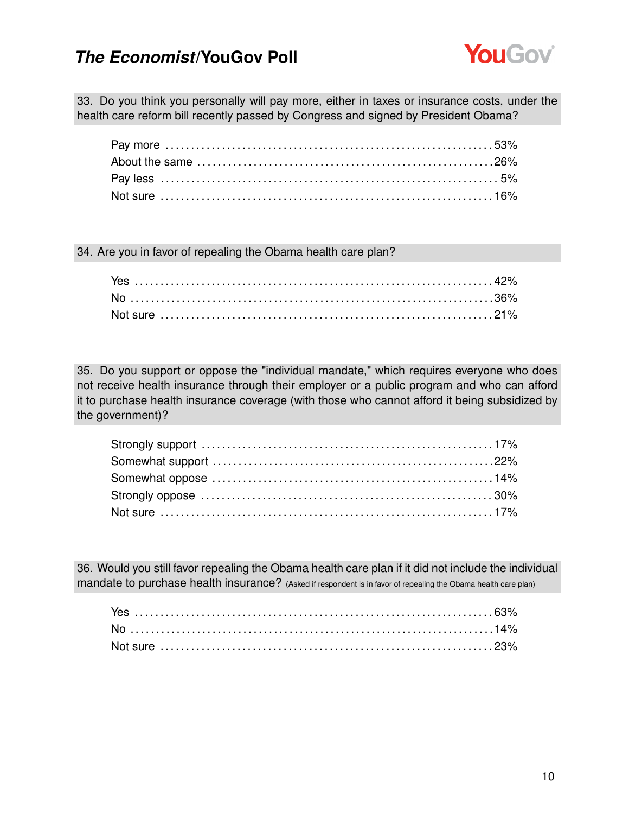

33. Do you think you personally will pay more, either in taxes or insurance costs, under the health care reform bill recently passed by Congress and signed by President Obama?

34. Are you in favor of repealing the Obama health care plan?

35. Do you support or oppose the "individual mandate," which requires everyone who does not receive health insurance through their employer or a public program and who can afford it to purchase health insurance coverage (with those who cannot afford it being subsidized by the government)?

36. Would you still favor repealing the Obama health care plan if it did not include the individual mandate to purchase health insurance? (Asked if respondent is in favor of repealing the Obama health care plan)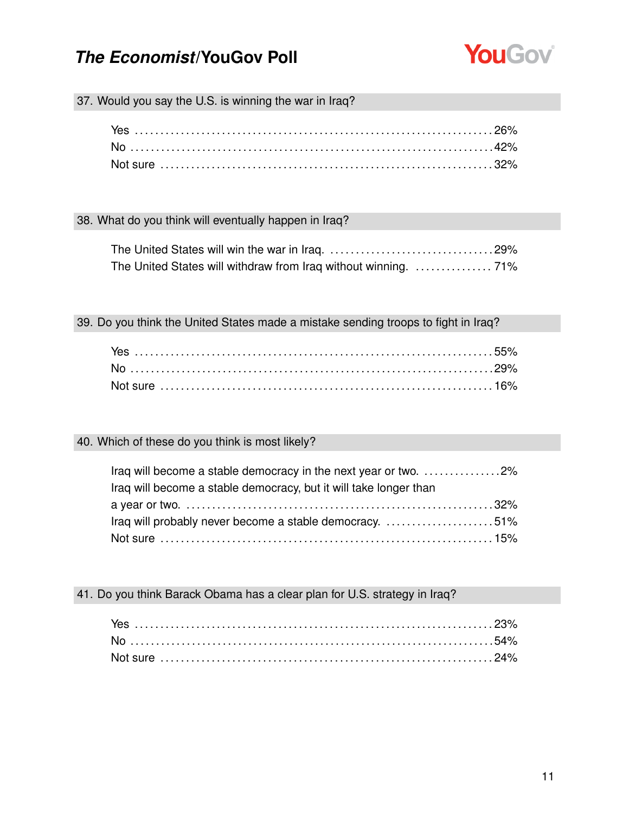

37. Would you say the U.S. is winning the war in Iraq?

#### 38. What do you think will eventually happen in Iraq?

39. Do you think the United States made a mistake sending troops to fight in Iraq?

| Not sure ………………………………………………………………………16% |  |
|-----------------------------------------|--|

### 40. Which of these do you think is most likely?

| Iraq will become a stable democracy in the next year or two. 2%   |  |
|-------------------------------------------------------------------|--|
| Iraq will become a stable democracy, but it will take longer than |  |
|                                                                   |  |
| Iraq will probably never become a stable democracy. 51%           |  |
|                                                                   |  |

#### 41. Do you think Barack Obama has a clear plan for U.S. strategy in Iraq?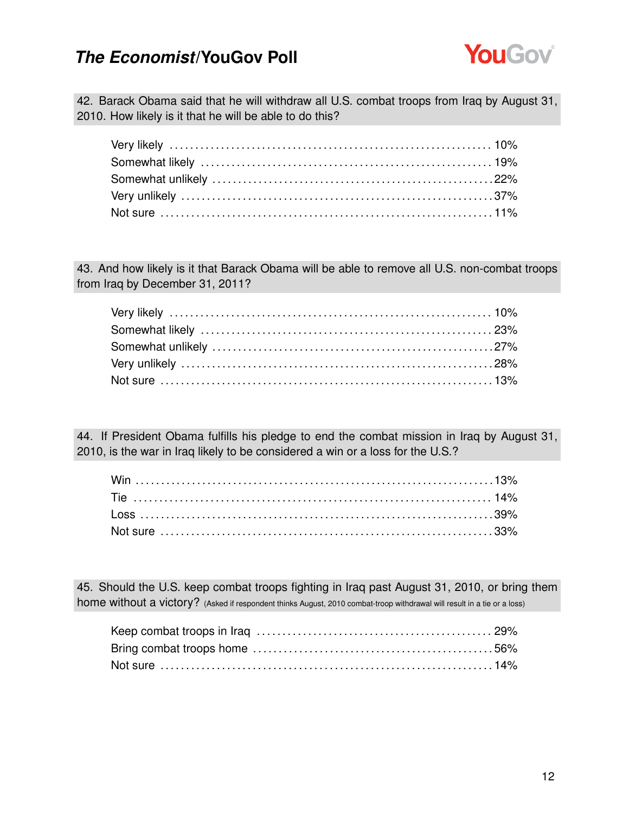

42. Barack Obama said that he will withdraw all U.S. combat troops from Iraq by August 31, 2010. How likely is it that he will be able to do this?

43. And how likely is it that Barack Obama will be able to remove all U.S. non-combat troops from Iraq by December 31, 2011?

44. If President Obama fulfills his pledge to end the combat mission in Iraq by August 31, 2010, is the war in Iraq likely to be considered a win or a loss for the U.S.?

45. Should the U.S. keep combat troops fighting in Iraq past August 31, 2010, or bring them home without a victory? (Asked if respondent thinks August, 2010 combat-troop withdrawal will result in a tie or a loss)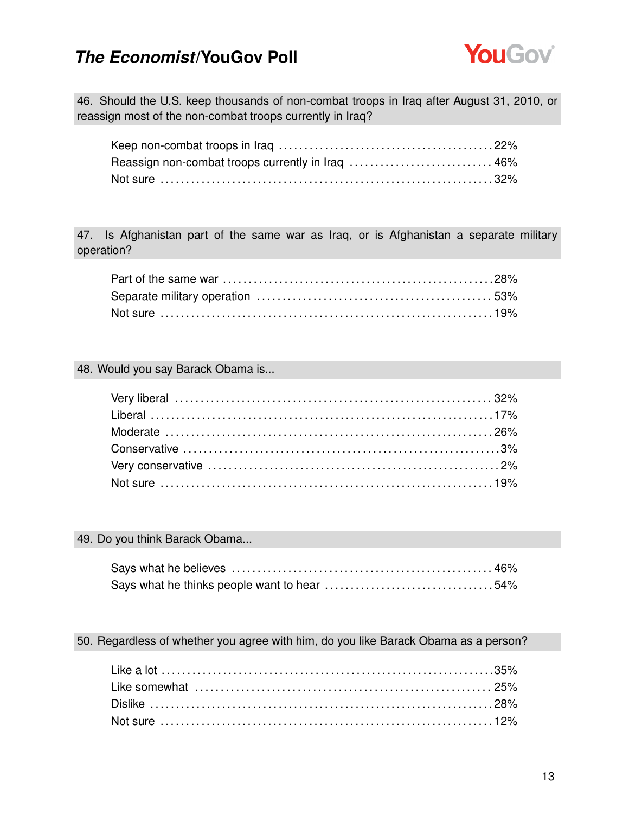

46. Should the U.S. keep thousands of non-combat troops in Iraq after August 31, 2010, or reassign most of the non-combat troops currently in Iraq?

| Reassign non-combat troops currently in Iraq  46% |  |
|---------------------------------------------------|--|
|                                                   |  |

47. Is Afghanistan part of the same war as Iraq, or is Afghanistan a separate military operation?

#### 48. Would you say Barack Obama is...

#### 49. Do you think Barack Obama...

#### 50. Regardless of whether you agree with him, do you like Barack Obama as a person?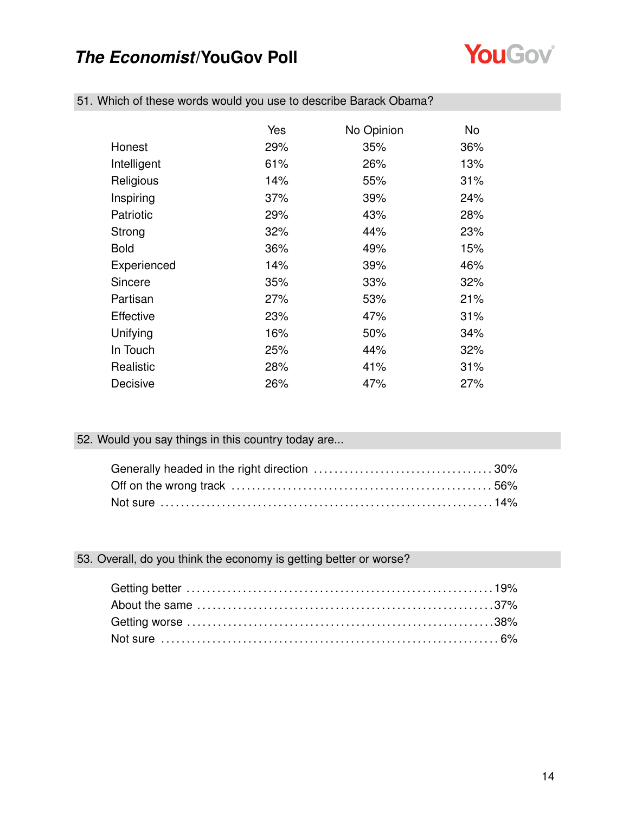

|                  | Yes | No Opinion | <b>No</b> |
|------------------|-----|------------|-----------|
| Honest           | 29% | 35%        | 36%       |
| Intelligent      | 61% | 26%        | 13%       |
| Religious        | 14% | 55%        | 31%       |
| Inspiring        | 37% | 39%        | 24%       |
| Patriotic        | 29% | 43%        | 28%       |
| Strong           | 32% | 44%        | 23%       |
| <b>Bold</b>      | 36% | 49%        | 15%       |
| Experienced      | 14% | 39%        | 46%       |
| Sincere          | 35% | 33%        | 32%       |
| Partisan         | 27% | 53%        | 21%       |
| <b>Effective</b> | 23% | 47%        | 31%       |
| Unifying         | 16% | 50%        | 34%       |
| In Touch         | 25% | 44%        | 32%       |
| Realistic        | 28% | 41%        | 31%       |
| Decisive         | 26% | 47%        | 27%       |

51. Which of these words would you use to describe Barack Obama?

### 52. Would you say things in this country today are...

#### 53. Overall, do you think the economy is getting better or worse?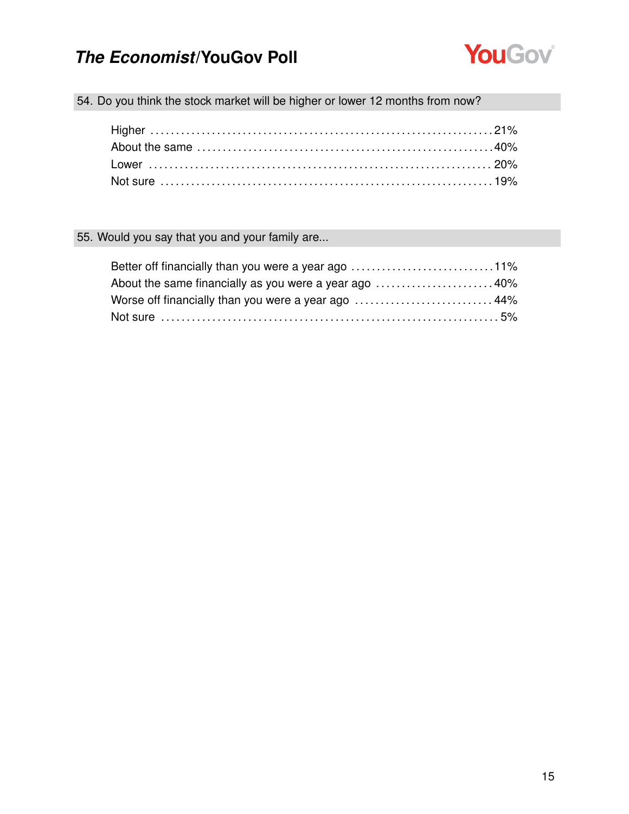

54. Do you think the stock market will be higher or lower 12 months from now?

### 55. Would you say that you and your family are...

| Better off financially than you were a year ago 11%   |  |
|-------------------------------------------------------|--|
| About the same financially as you were a year ago 40% |  |
| Worse off financially than you were a year ago  44%   |  |
|                                                       |  |